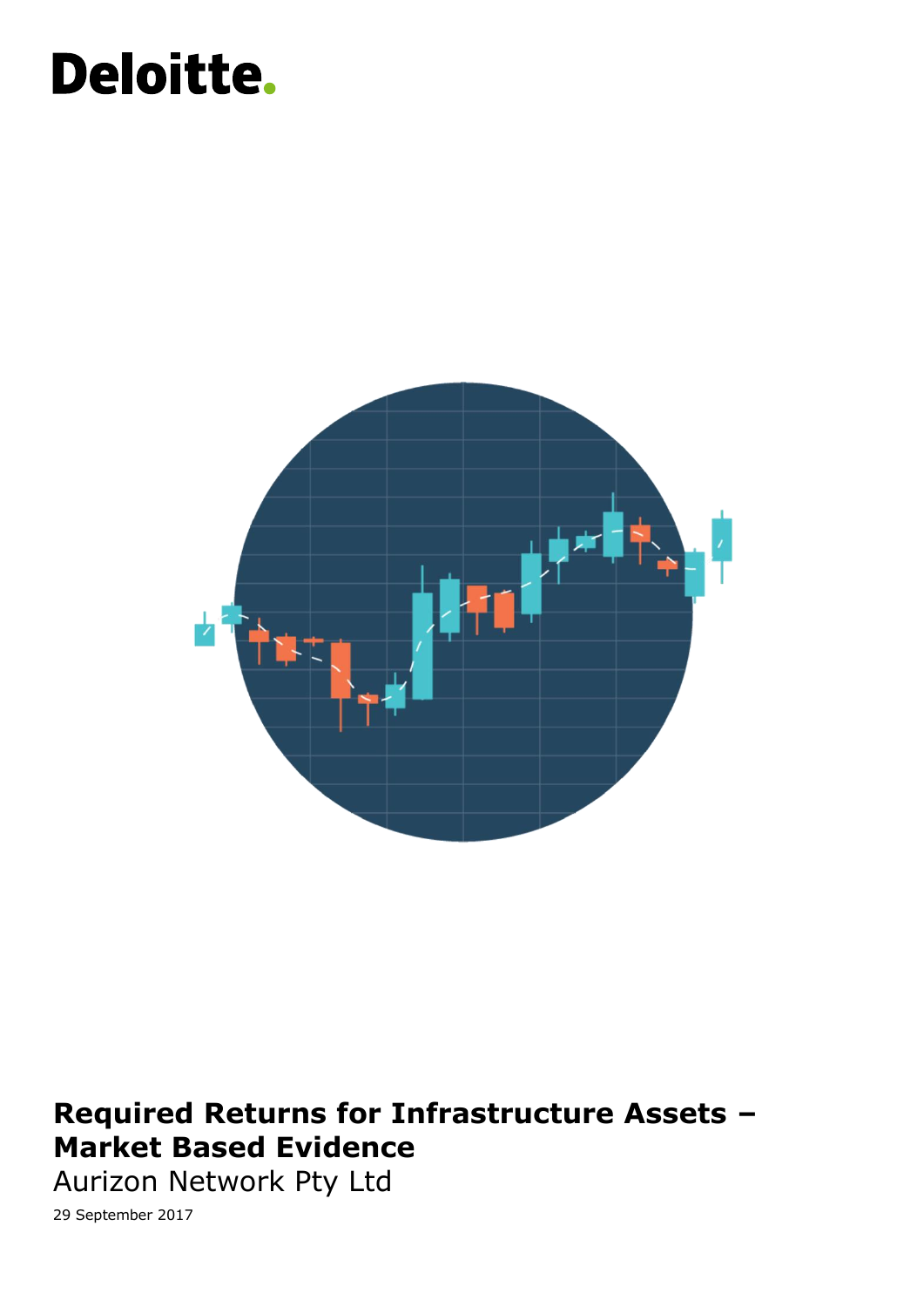# Deloitte.



### Required Returns for Infrastructure Assets – **Market Based Evidence** and its member for a detailed description of the legal structure of Deloit

Aurizon Network Pty Ltd Aurican Communist Communist Communist Communist Communist Communist Communist Communis

Liability limited by a scheme approved under Professional Standards Legislation. 29 September 2017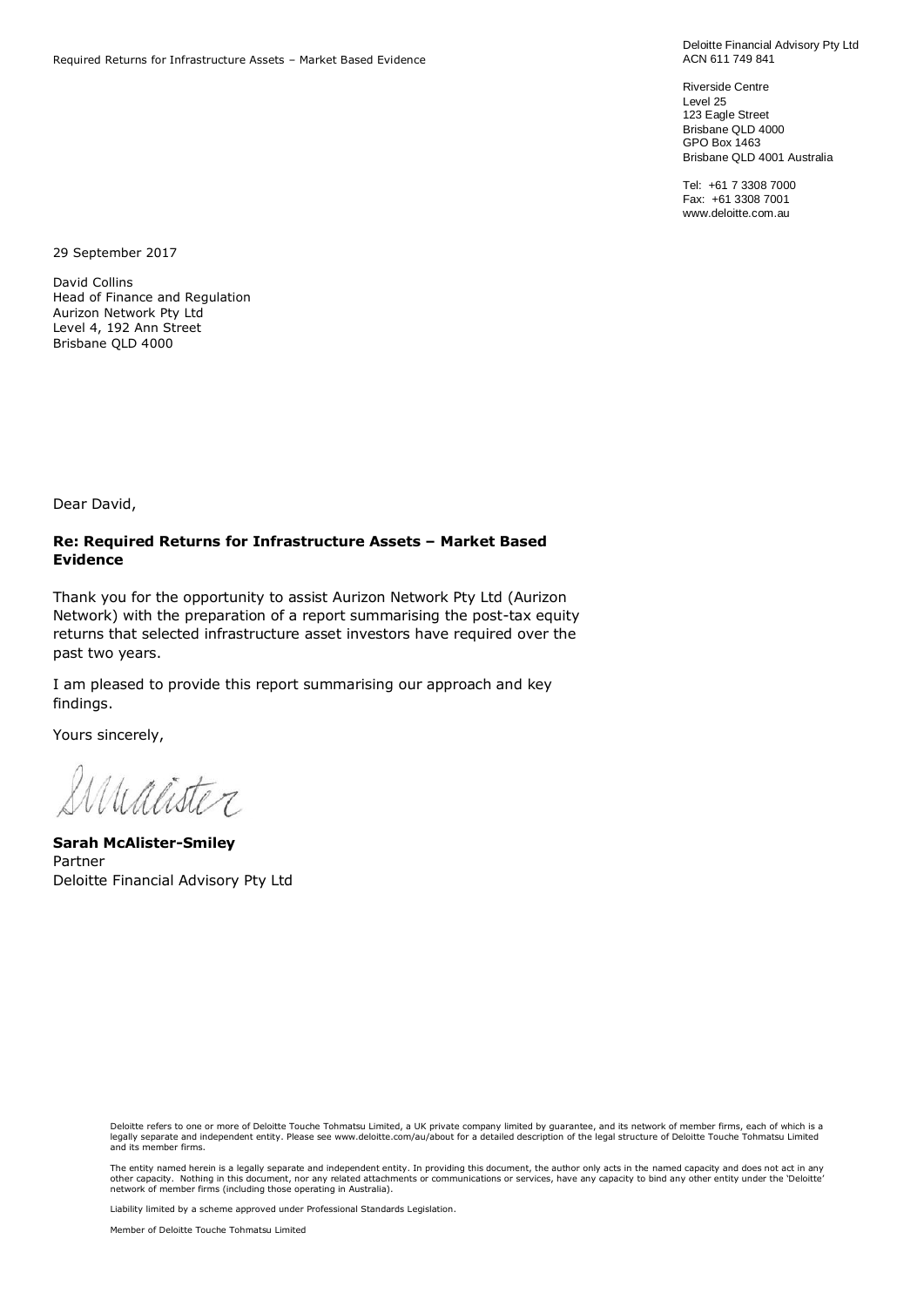Deloitte Financial Advisory Pty Ltd ACN 611 749 841

Riverside Centre Level 25 123 Eagle Street Brisbane QLD 4000 GPO Box 1463 Brisbane QLD 4001 Australia

Tel: +61 7 3308 7000 Fax: +61 3308 7001 www.deloitte.com.au

29 September 2017

David Collins Head of Finance and Regulation Aurizon Network Pty Ltd Level 4, 192 Ann Street Brisbane QLD 4000

Dear David,

#### **Re: Required Returns for Infrastructure Assets – Market Based Evidence**

Thank you for the opportunity to assist Aurizon Network Pty Ltd (Aurizon Network) with the preparation of a report summarising the post-tax equity returns that selected infrastructure asset investors have required over the past two years.

I am pleased to provide this report summarising our approach and key findings.

Yours sincerely,

Simalister

**Sarah McAlister-Smiley** Partner Deloitte Financial Advisory Pty Ltd

Deloitte refers to one or more of Deloitte Touche Tohmatsu Limited, a UK private company limited by guarantee, and its network of member firms, each of which is a<br>legally separate and independent entity. Please see www.del and its member firms.

The entity named herein is a legally separate and independent entity. In providing this document, the author only acts in the named capacity and does not act in any other capacity. Nothing in this document, nor any related attachments or communications or services, have any capacity to bind any other entity under the 'Deloitte'<br>network of member firms (including those operating in Au

Liability limited by a scheme approved under Professional Standards Legislation.

Member of Deloitte Touche Tohmatsu Limited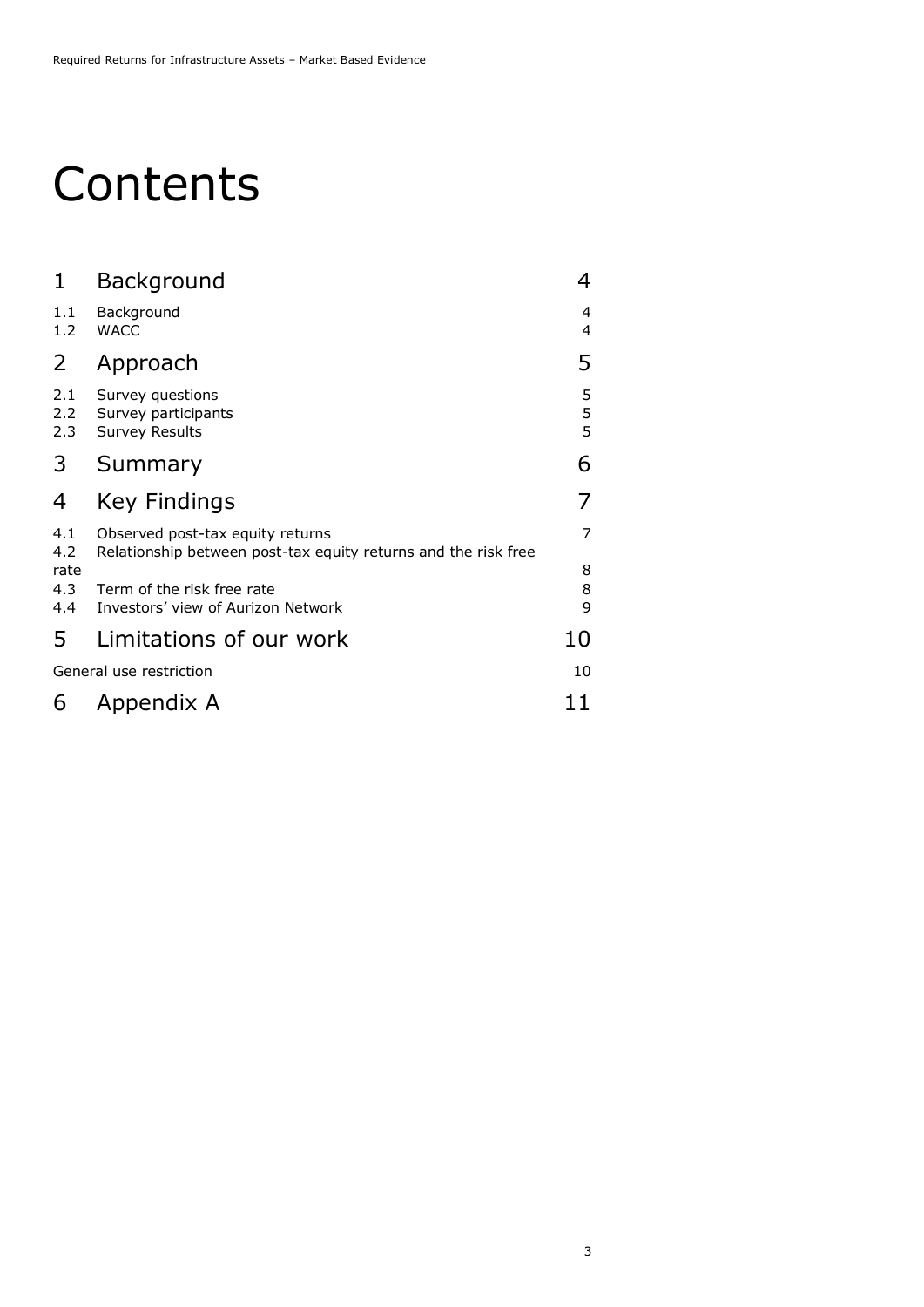### **Contents**

| 1                       | Background                                                                                         | 4                  |
|-------------------------|----------------------------------------------------------------------------------------------------|--------------------|
| 1.1<br>1.2              | Background<br><b>WACC</b>                                                                          | 4<br>4             |
| 2                       | Approach                                                                                           | 5                  |
| 2.1<br>2.2<br>2.3       | Survey questions<br>Survey participants<br><b>Survey Results</b>                                   | 5<br>$\frac{5}{5}$ |
| 3                       | Summary                                                                                            | 6                  |
| 4                       | <b>Key Findings</b>                                                                                |                    |
| 4.1<br>4.2              | Observed post-tax equity returns<br>Relationship between post-tax equity returns and the risk free | 7                  |
| rate<br>4.3<br>4.4      | Term of the risk free rate<br>Investors' view of Aurizon Network                                   | 8<br>8<br>9        |
| 5                       | Limitations of our work                                                                            | 10                 |
| General use restriction |                                                                                                    | 10                 |
| 6                       | Appendix A                                                                                         | 11                 |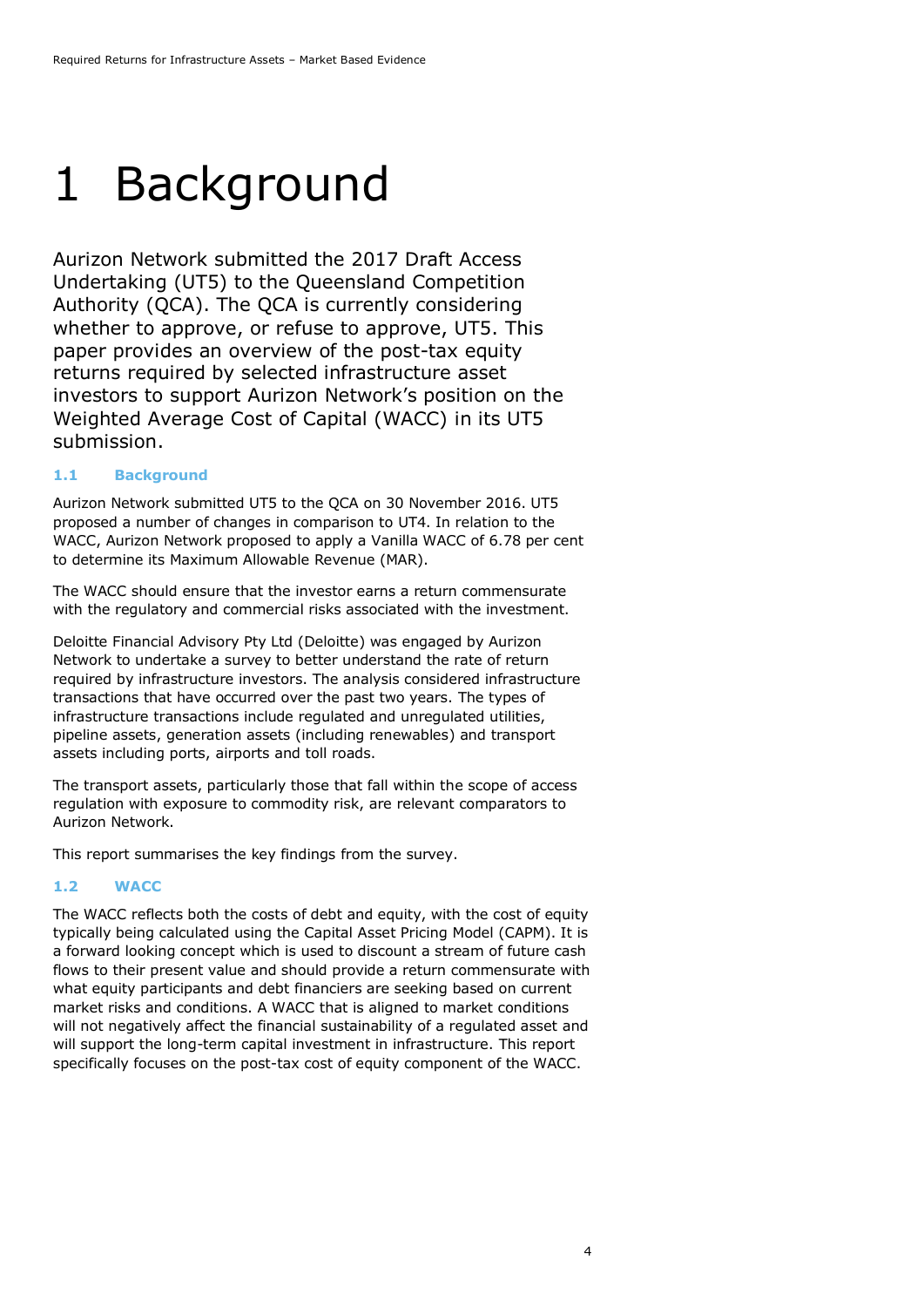### <span id="page-3-0"></span>1 Background

Aurizon Network submitted the 2017 Draft Access Undertaking (UT5) to the Queensland Competition Authority (QCA). The QCA is currently considering whether to approve, or refuse to approve, UT5. This paper provides an overview of the post-tax equity returns required by selected infrastructure asset investors to support Aurizon Network's position on the Weighted Average Cost of Capital (WACC) in its UT5 submission.

### <span id="page-3-1"></span>**1.1 Background**

Aurizon Network submitted UT5 to the QCA on 30 November 2016. UT5 proposed a number of changes in comparison to UT4. In relation to the WACC, Aurizon Network proposed to apply a Vanilla WACC of 6.78 per cent to determine its Maximum Allowable Revenue (MAR).

The WACC should ensure that the investor earns a return commensurate with the regulatory and commercial risks associated with the investment.

Deloitte Financial Advisory Pty Ltd (Deloitte) was engaged by Aurizon Network to undertake a survey to better understand the rate of return required by infrastructure investors. The analysis considered infrastructure transactions that have occurred over the past two years. The types of infrastructure transactions include regulated and unregulated utilities, pipeline assets, generation assets (including renewables) and transport assets including ports, airports and toll roads.

The transport assets, particularly those that fall within the scope of access regulation with exposure to commodity risk, are relevant comparators to Aurizon Network.

This report summarises the key findings from the survey.

### <span id="page-3-2"></span>**1.2 WACC**

The WACC reflects both the costs of debt and equity, with the cost of equity typically being calculated using the Capital Asset Pricing Model (CAPM). It is a forward looking concept which is used to discount a stream of future cash flows to their present value and should provide a return commensurate with what equity participants and debt financiers are seeking based on current market risks and conditions. A WACC that is aligned to market conditions will not negatively affect the financial sustainability of a regulated asset and will support the long-term capital investment in infrastructure. This report specifically focuses on the post-tax cost of equity component of the WACC.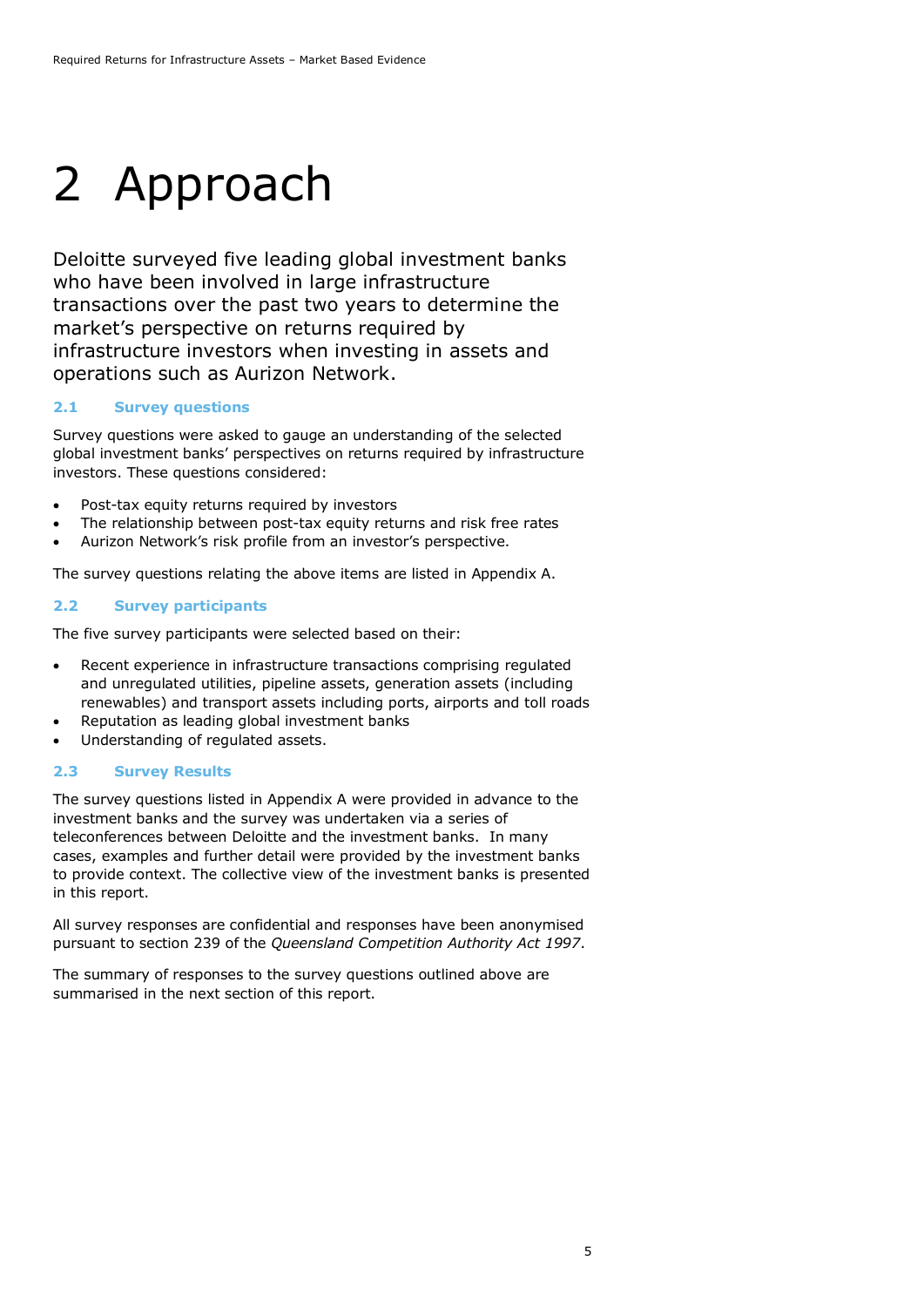# <span id="page-4-0"></span>2 Approach

Deloitte surveyed five leading global investment banks who have been involved in large infrastructure transactions over the past two years to determine the market's perspective on returns required by infrastructure investors when investing in assets and operations such as Aurizon Network.

### <span id="page-4-1"></span>**2.1 Survey questions**

Survey questions were asked to gauge an understanding of the selected global investment banks' perspectives on returns required by infrastructure investors. These questions considered:

- Post-tax equity returns required by investors
- The relationship between post-tax equity returns and risk free rates
- Aurizon Network's risk profile from an investor's perspective.

The survey questions relating the above items are listed in Appendix A.

#### <span id="page-4-2"></span>**2.2 Survey participants**

The five survey participants were selected based on their:

- Recent experience in infrastructure transactions comprising regulated and unregulated utilities, pipeline assets, generation assets (including renewables) and transport assets including ports, airports and toll roads
- Reputation as leading global investment banks
- Understanding of regulated assets.

#### <span id="page-4-3"></span>**2.3 Survey Results**

The survey questions listed in Appendix A were provided in advance to the investment banks and the survey was undertaken via a series of teleconferences between Deloitte and the investment banks. In many cases, examples and further detail were provided by the investment banks to provide context. The collective view of the investment banks is presented in this report.

All survey responses are confidential and responses have been anonymised pursuant to section 239 of the *Queensland Competition Authority Act 1997*.

The summary of responses to the survey questions outlined above are summarised in the next section of this report.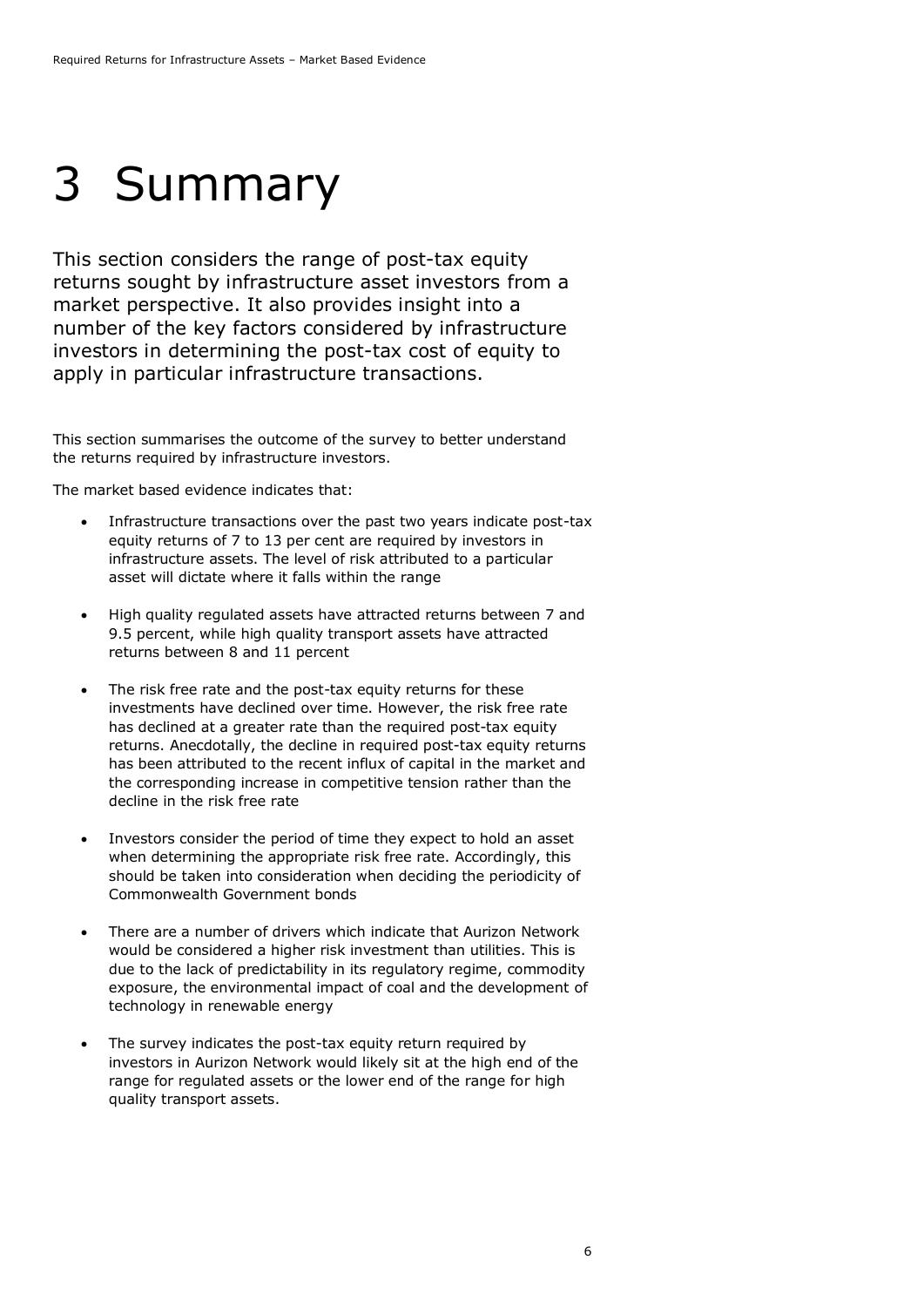## <span id="page-5-0"></span>3 Summary

This section considers the range of post-tax equity returns sought by infrastructure asset investors from a market perspective. It also provides insight into a number of the key factors considered by infrastructure investors in determining the post-tax cost of equity to apply in particular infrastructure transactions.

This section summarises the outcome of the survey to better understand the returns required by infrastructure investors.

The market based evidence indicates that:

- Infrastructure transactions over the past two years indicate post-tax equity returns of 7 to 13 per cent are required by investors in infrastructure assets. The level of risk attributed to a particular asset will dictate where it falls within the range
- High quality regulated assets have attracted returns between 7 and 9.5 percent, while high quality transport assets have attracted returns between 8 and 11 percent
- The risk free rate and the post-tax equity returns for these investments have declined over time. However, the risk free rate has declined at a greater rate than the required post-tax equity returns. Anecdotally, the decline in required post-tax equity returns has been attributed to the recent influx of capital in the market and the corresponding increase in competitive tension rather than the decline in the risk free rate
- Investors consider the period of time they expect to hold an asset when determining the appropriate risk free rate. Accordingly, this should be taken into consideration when deciding the periodicity of Commonwealth Government bonds
- There are a number of drivers which indicate that Aurizon Network would be considered a higher risk investment than utilities. This is due to the lack of predictability in its regulatory regime, commodity exposure, the environmental impact of coal and the development of technology in renewable energy
- The survey indicates the post-tax equity return required by investors in Aurizon Network would likely sit at the high end of the range for regulated assets or the lower end of the range for high quality transport assets.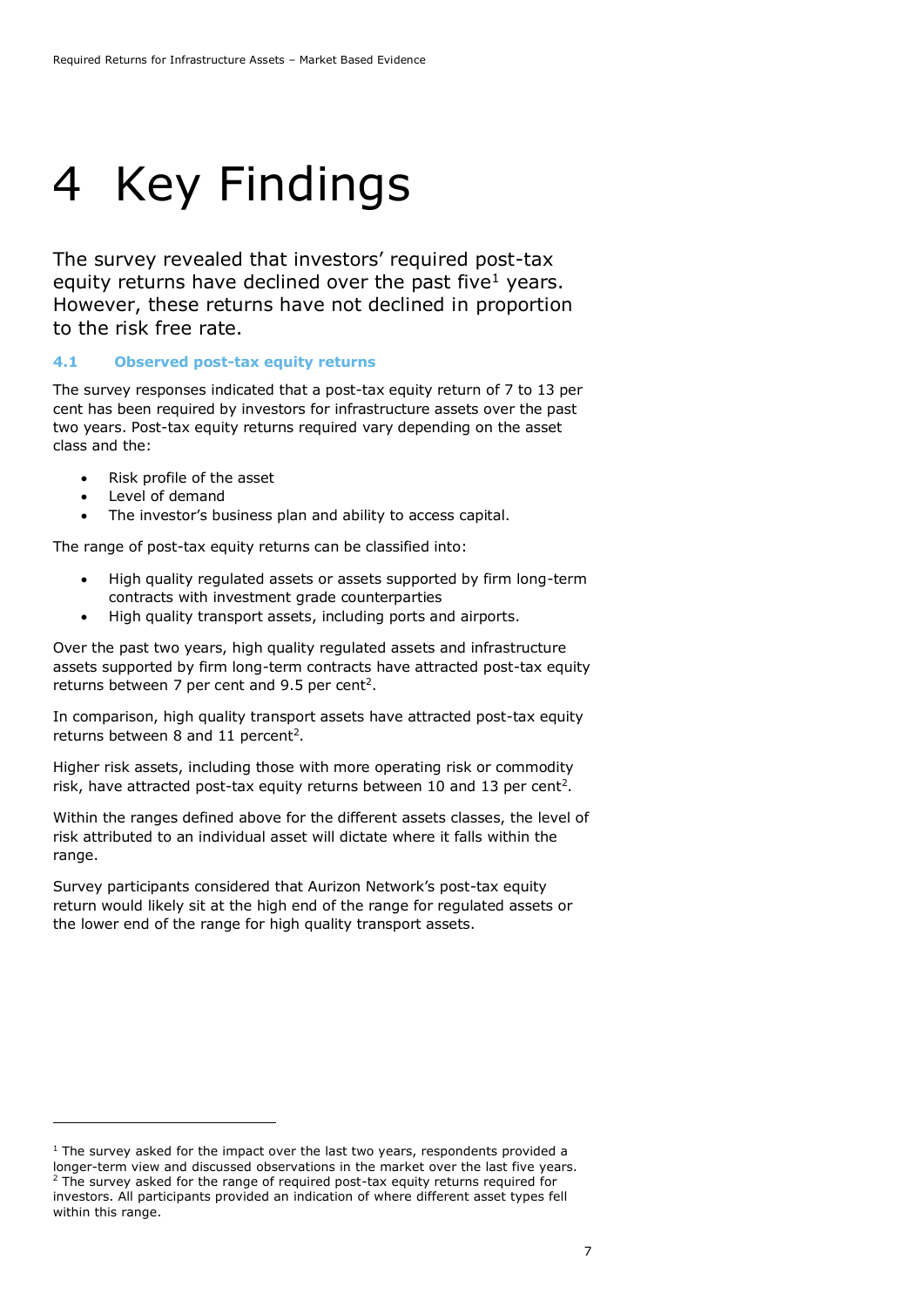## <span id="page-6-0"></span>4 Key Findings

The survey revealed that investors' required post-tax equity returns have declined over the past five<sup>1</sup> years. However, these returns have not declined in proportion to the risk free rate.

### <span id="page-6-1"></span>**4.1 Observed post-tax equity returns**

The survey responses indicated that a post-tax equity return of 7 to 13 per cent has been required by investors for infrastructure assets over the past two years. Post-tax equity returns required vary depending on the asset class and the:

- Risk profile of the asset
- Level of demand

-

The investor's business plan and ability to access capital.

The range of post-tax equity returns can be classified into:

- High quality regulated assets or assets supported by firm long-term contracts with investment grade counterparties
- <span id="page-6-2"></span>• High quality transport assets, including ports and airports.

Over the past two years, high quality regulated assets and infrastructure assets supported by firm long-term contracts have attracted post-tax equity returns between 7 per cent and 9.5 per cent<sup>2</sup>.

In comparison, high quality transport assets have attracted post-tax equity returns between 8 and 11 percent<sup>[2](#page-6-2)</sup>.

Higher risk assets, including those with more operating risk or commodity risk, have a[t](#page-6-2)tracted post-tax equity returns between 10 and 13 per cent<sup>2</sup>.

Within the ranges defined above for the different assets classes, the level of risk attributed to an individual asset will dictate where it falls within the range.

Survey participants considered that Aurizon Network's post-tax equity return would likely sit at the high end of the range for regulated assets or the lower end of the range for high quality transport assets.

 $1$  The survey asked for the impact over the last two years, respondents provided a longer-term view and discussed observations in the market over the last five years.  $2$  The survey asked for the range of required post-tax equity returns required for investors. All participants provided an indication of where different asset types fell within this range.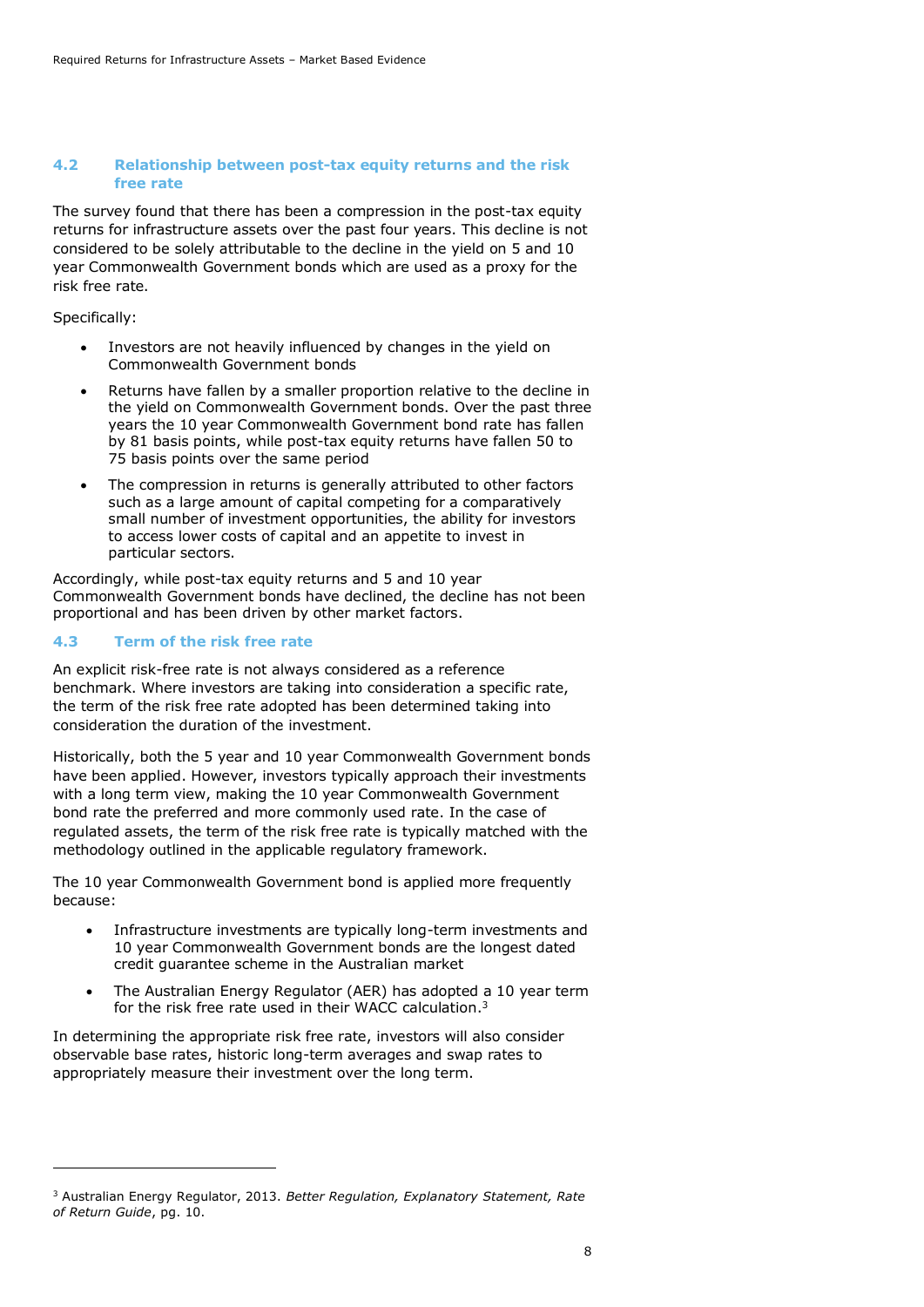#### <span id="page-7-0"></span>**4.2 Relationship between post-tax equity returns and the risk free rate**

The survey found that there has been a compression in the post-tax equity returns for infrastructure assets over the past four years. This decline is not considered to be solely attributable to the decline in the yield on 5 and 10 year Commonwealth Government bonds which are used as a proxy for the risk free rate.

Specifically:

-

- Investors are not heavily influenced by changes in the yield on Commonwealth Government bonds
- Returns have fallen by a smaller proportion relative to the decline in the yield on Commonwealth Government bonds. Over the past three years the 10 year Commonwealth Government bond rate has fallen by 81 basis points, while post-tax equity returns have fallen 50 to 75 basis points over the same period
- The compression in returns is generally attributed to other factors such as a large amount of capital competing for a comparatively small number of investment opportunities, the ability for investors to access lower costs of capital and an appetite to invest in particular sectors.

Accordingly, while post-tax equity returns and 5 and 10 year Commonwealth Government bonds have declined, the decline has not been proportional and has been driven by other market factors.

### <span id="page-7-1"></span>**4.3 Term of the risk free rate**

An explicit risk-free rate is not always considered as a reference benchmark. Where investors are taking into consideration a specific rate, the term of the risk free rate adopted has been determined taking into consideration the duration of the investment.

Historically, both the 5 year and 10 year Commonwealth Government bonds have been applied. However, investors typically approach their investments with a long term view, making the 10 year Commonwealth Government bond rate the preferred and more commonly used rate. In the case of regulated assets, the term of the risk free rate is typically matched with the methodology outlined in the applicable regulatory framework.

The 10 year Commonwealth Government bond is applied more frequently because:

- Infrastructure investments are typically long-term investments and 10 year Commonwealth Government bonds are the longest dated credit guarantee scheme in the Australian market
- The Australian Energy Regulator (AER) has adopted a 10 year term for the risk free rate used in their WACC calculation.<sup>3</sup>

In determining the appropriate risk free rate, investors will also consider observable base rates, historic long-term averages and swap rates to appropriately measure their investment over the long term.

<sup>3</sup> Australian Energy Regulator, 2013. *Better Regulation, Explanatory Statement, Rate of Return Guide*, pg. 10.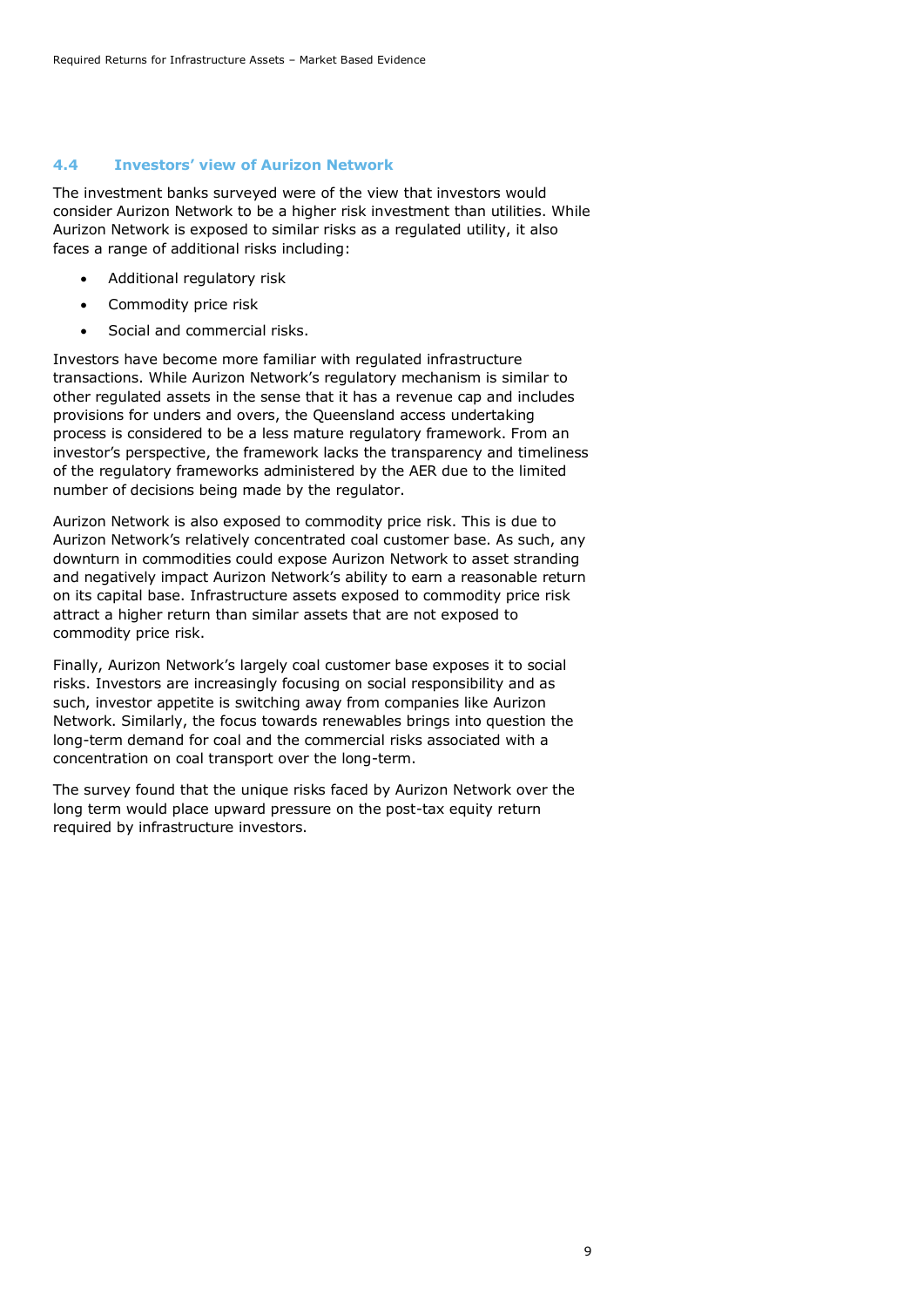### <span id="page-8-0"></span>**4.4 Investors' view of Aurizon Network**

The investment banks surveyed were of the view that investors would consider Aurizon Network to be a higher risk investment than utilities. While Aurizon Network is exposed to similar risks as a regulated utility, it also faces a range of additional risks including:

- Additional regulatory risk
- Commodity price risk
- Social and commercial risks.

Investors have become more familiar with regulated infrastructure transactions. While Aurizon Network's regulatory mechanism is similar to other regulated assets in the sense that it has a revenue cap and includes provisions for unders and overs, the Queensland access undertaking process is considered to be a less mature regulatory framework. From an investor's perspective, the framework lacks the transparency and timeliness of the regulatory frameworks administered by the AER due to the limited number of decisions being made by the regulator.

Aurizon Network is also exposed to commodity price risk. This is due to Aurizon Network's relatively concentrated coal customer base. As such, any downturn in commodities could expose Aurizon Network to asset stranding and negatively impact Aurizon Network's ability to earn a reasonable return on its capital base. Infrastructure assets exposed to commodity price risk attract a higher return than similar assets that are not exposed to commodity price risk.

Finally, Aurizon Network's largely coal customer base exposes it to social risks. Investors are increasingly focusing on social responsibility and as such, investor appetite is switching away from companies like Aurizon Network. Similarly, the focus towards renewables brings into question the long-term demand for coal and the commercial risks associated with a concentration on coal transport over the long-term.

The survey found that the unique risks faced by Aurizon Network over the long term would place upward pressure on the post-tax equity return required by infrastructure investors.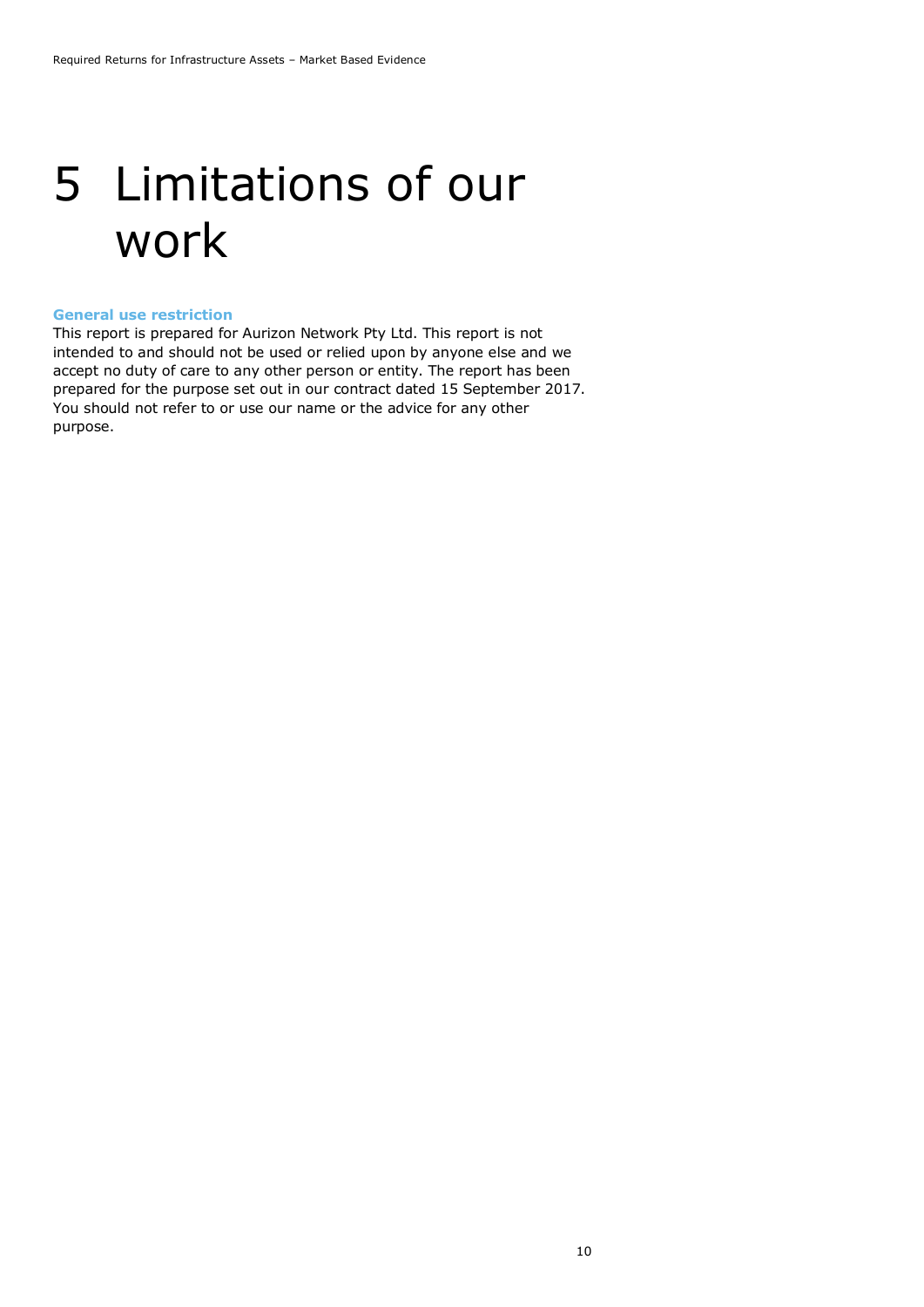### <span id="page-9-0"></span>5 Limitations of our work

#### <span id="page-9-1"></span>**General use restriction**

This report is prepared for Aurizon Network Pty Ltd. This report is not intended to and should not be used or relied upon by anyone else and we accept no duty of care to any other person or entity. The report has been prepared for the purpose set out in our contract dated 15 September 2017. You should not refer to or use our name or the advice for any other purpose.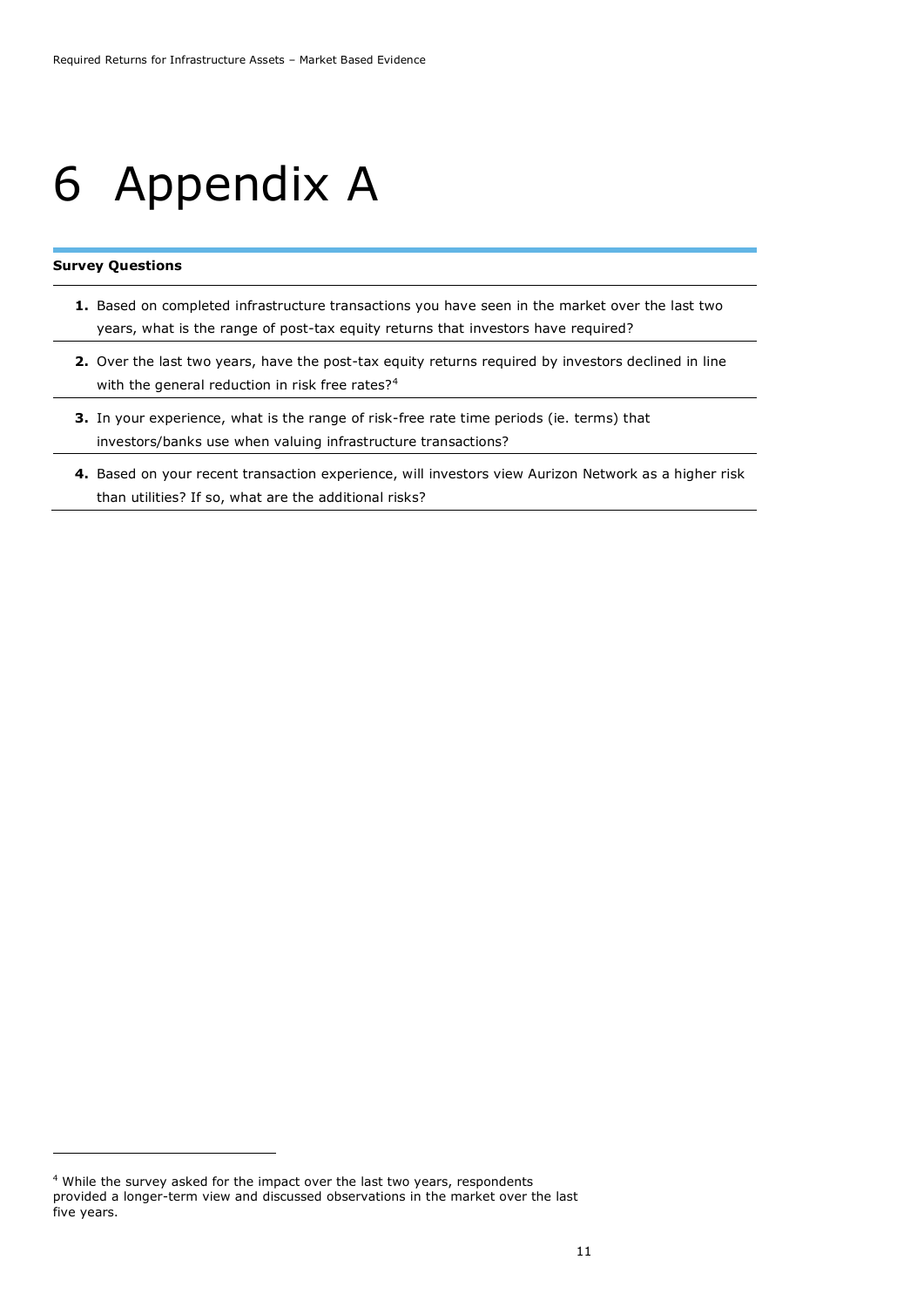### <span id="page-10-0"></span>6 Appendix A

#### **Survey Questions**

-

- **1.** Based on completed infrastructure transactions you have seen in the market over the last two years, what is the range of post-tax equity returns that investors have required?
- **2.** Over the last two years, have the post-tax equity returns required by investors declined in line with the general reduction in risk free rates?<sup>4</sup>
- **3.** In your experience, what is the range of risk-free rate time periods (ie. terms) that investors/banks use when valuing infrastructure transactions?
- **4.** Based on your recent transaction experience, will investors view Aurizon Network as a higher risk than utilities? If so, what are the additional risks?

<sup>4</sup> While the survey asked for the impact over the last two years, respondents provided a longer-term view and discussed observations in the market over the last five years.